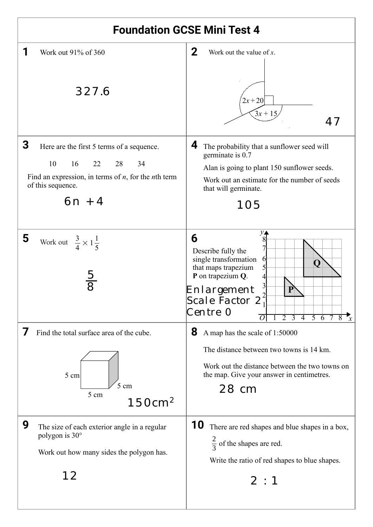| <b>Foundation GCSE Mini Test 4</b>                                                                                                                                         |                                                                                                                                                                                                                                                                                                                        |  |
|----------------------------------------------------------------------------------------------------------------------------------------------------------------------------|------------------------------------------------------------------------------------------------------------------------------------------------------------------------------------------------------------------------------------------------------------------------------------------------------------------------|--|
| Work out 91% of 360<br>327.6                                                                                                                                               | 2<br>Work out the value of $x$ .<br>$2x + 20$<br>$3x + 15$<br>47                                                                                                                                                                                                                                                       |  |
| 3<br>Here are the first 5 terms of a sequence.<br>10<br>22<br>28<br>16<br>34<br>Find an expression, in terms of $n$ , for the $n$ th term<br>of this sequence.<br>$6n + 4$ | 4<br>The probability that a sunflower seed will<br>germinate is 0.7<br>Alan is going to plant 150 sunflower seeds.<br>Work out an estimate for the number of seeds<br>that will germinate.<br>105                                                                                                                      |  |
| 5<br>Work out $\frac{3}{4} \times 1\frac{1}{5}$<br>$\frac{5}{8}$                                                                                                           | $y_{\blacktriangle}$<br>6<br>8<br>Describe fully the<br>single transformation<br>$\theta$<br>O<br>that maps trapezium<br>P on trapezium Q.<br>4<br>Enlargement<br>Scale Factor 27<br>Centre O<br> O <br>2 <sub>3</sub><br>$\overline{4}$<br>$5\overline{6}$<br>$\overline{8}$<br>$\overline{7}$<br>$\boldsymbol{\chi}$ |  |
| Find the total surface area of the cube.<br>5 cm<br>$5 \text{ cm}$<br>5 cm<br>150cm <sup>2</sup>                                                                           | 8<br>A map has the scale of 1:50000<br>The distance between two towns is 14 km.<br>Work out the distance between the two towns on<br>the map. Give your answer in centimetres.<br>28 cm                                                                                                                                |  |
| 9<br>The size of each exterior angle in a regular<br>polygon is 30°<br>Work out how many sides the polygon has.<br>12                                                      | 10<br>There are red shapes and blue shapes in a box,<br>$\frac{2}{3}$ of the shapes are red.<br>Write the ratio of red shapes to blue shapes.<br>2:1                                                                                                                                                                   |  |